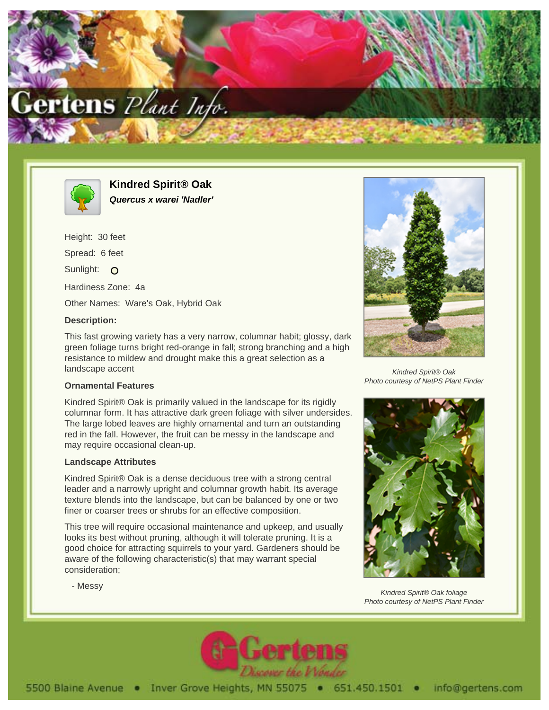



**Kindred Spirit® Oak Quercus x warei 'Nadler'**

Height: 30 feet Spread: 6 feet Sunlight: O Hardiness Zone: 4a Other Names: Ware's Oak, Hybrid Oak

## **Description:**

This fast growing variety has a very narrow, columnar habit; glossy, dark green foliage turns bright red-orange in fall; strong branching and a high resistance to mildew and drought make this a great selection as a landscape accent

## **Ornamental Features**

Kindred Spirit® Oak is primarily valued in the landscape for its rigidly columnar form. It has attractive dark green foliage with silver undersides. The large lobed leaves are highly ornamental and turn an outstanding red in the fall. However, the fruit can be messy in the landscape and may require occasional clean-up.

## **Landscape Attributes**

- Messy

Kindred Spirit® Oak is a dense deciduous tree with a strong central leader and a narrowly upright and columnar growth habit. Its average texture blends into the landscape, but can be balanced by one or two finer or coarser trees or shrubs for an effective composition.

This tree will require occasional maintenance and upkeep, and usually looks its best without pruning, although it will tolerate pruning. It is a good choice for attracting squirrels to your yard. Gardeners should be aware of the following characteristic(s) that may warrant special consideration;



Kindred Spirit® Oak Photo courtesy of NetPS Plant Finder



Kindred Spirit® Oak foliage Photo courtesy of NetPS Plant Finder